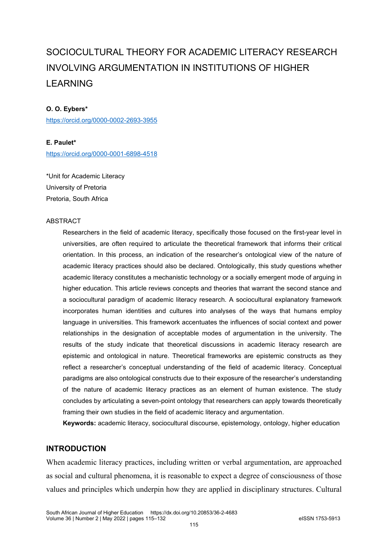# SOCIOCULTURAL THEORY FOR ACADEMIC LITERACY RESEARCH INVOLVING ARGUMENTATION IN INSTITUTIONS OF HIGHER LEARNING

## **O. O. Eybers\***

<https://orcid.org/0000-0002-2693-3955>

## **E. Paulet\***

<https://orcid.org/0000-0001-6898-4518>

\*Unit for Academic Literacy University of Pretoria Pretoria, South Africa

#### ABSTRACT

Researchers in the field of academic literacy, specifically those focused on the first-year level in universities, are often required to articulate the theoretical framework that informs their critical orientation. In this process, an indication of the researcher's ontological view of the nature of academic literacy practices should also be declared. Ontologically, this study questions whether academic literacy constitutes a mechanistic technology or a socially emergent mode of arguing in higher education. This article reviews concepts and theories that warrant the second stance and a sociocultural paradigm of academic literacy research. A sociocultural explanatory framework incorporates human identities and cultures into analyses of the ways that humans employ language in universities. This framework accentuates the influences of social context and power relationships in the designation of acceptable modes of argumentation in the university. The results of the study indicate that theoretical discussions in academic literacy research are epistemic and ontological in nature. Theoretical frameworks are epistemic constructs as they reflect a researcher's conceptual understanding of the field of academic literacy. Conceptual paradigms are also ontological constructs due to their exposure of the researcher's understanding of the nature of academic literacy practices as an element of human existence. The study concludes by articulating a seven-point ontology that researchers can apply towards theoretically framing their own studies in the field of academic literacy and argumentation.

**Keywords:** academic literacy, sociocultural discourse, epistemology, ontology, higher education

# **INTRODUCTION**

When academic literacy practices, including written or verbal argumentation, are approached as social and cultural phenomena, it is reasonable to expect a degree of consciousness of those values and principles which underpin how they are applied in disciplinary structures. Cultural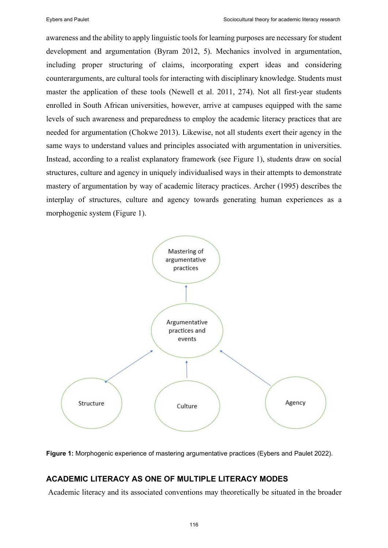awareness and the ability to apply linguistic tools for learning purposes are necessary forstudent development and argumentation (Byram 2012, 5). Mechanics involved in argumentation, including proper structuring of claims, incorporating expert ideas and considering counterarguments, are cultural tools for interacting with disciplinary knowledge. Students must master the application of these tools (Newell et al. 2011, 274). Not all first-year students enrolled in South African universities, however, arrive at campuses equipped with the same levels of such awareness and preparedness to employ the academic literacy practices that are needed for argumentation (Chokwe 2013). Likewise, not all students exert their agency in the same ways to understand values and principles associated with argumentation in universities. Instead, according to a realist explanatory framework (see Figure 1), students draw on social structures, culture and agency in uniquely individualised ways in their attempts to demonstrate mastery of argumentation by way of academic literacy practices. Archer (1995) describes the interplay of structures, culture and agency towards generating human experiences as a morphogenic system (Figure 1).



**Figure 1:** Morphogenic experience of mastering argumentative practices (Eybers and Paulet 2022).

# **ACADEMIC LITERACY AS ONE OF MULTIPLE LITERACY MODES**

Academic literacy and its associated conventions may theoretically be situated in the broader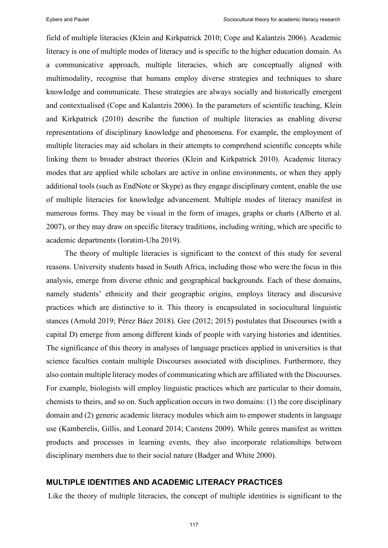field of multiple literacies (Klein and Kirkpatrick 2010; Cope and Kalantzis 2006). Academic literacy is one of multiple modes of literacy and is specific to the higher education domain. As a communicative approach, multiple literacies, which are conceptually aligned with multimodality, recognise that humans employ diverse strategies and techniques to share knowledge and communicate. These strategies are always socially and historically emergent and contextualised (Cope and Kalantzis 2006). In the parameters of scientific teaching, Klein and Kirkpatrick (2010) describe the function of multiple literacies as enabling diverse representations of disciplinary knowledge and phenomena. For example, the employment of multiple literacies may aid scholars in their attempts to comprehend scientific concepts while linking them to broader abstract theories (Klein and Kirkpatrick 2010). Academic literacy modes that are applied while scholars are active in online environments, or when they apply additional tools (such as EndNote or Skype) as they engage disciplinary content, enable the use of multiple literacies for knowledge advancement. Multiple modes of literacy manifest in numerous forms. They may be visual in the form of images, graphs or charts (Alberto et al. 2007), or they may draw on specific literacy traditions, including writing, which are specific to academic departments (Ioratim-Uba 2019).

The theory of multiple literacies is significant to the context of this study for several reasons. University students based in South Africa, including those who were the focus in this analysis, emerge from diverse ethnic and geographical backgrounds. Each of these domains, namely students' ethnicity and their geographic origins, employs literacy and discursive practices which are distinctive to it. This theory is encapsulated in sociocultural linguistic stances (Arnold 2019; Pérez Báez 2018). Gee (2012; 2015) postulates that Discourses (with a capital D) emerge from among different kinds of people with varying histories and identities. The significance of this theory in analyses of language practices applied in universities is that science faculties contain multiple Discourses associated with disciplines. Furthermore, they also contain multiple literacy modes of communicating which are affiliated with the Discourses. For example, biologists will employ linguistic practices which are particular to their domain, chemists to theirs, and so on. Such application occurs in two domains: (1) the core disciplinary domain and (2) generic academic literacy modules which aim to empower students in language use (Kamberelis, Gillis, and Leonard 2014; Carstens 2009). While genres manifest as written products and processes in learning events, they also incorporate relationships between disciplinary members due to their social nature (Badger and White 2000).

## **MULTIPLE IDENTITIES AND ACADEMIC LITERACY PRACTICES**

Like the theory of multiple literacies, the concept of multiple identities is significant to the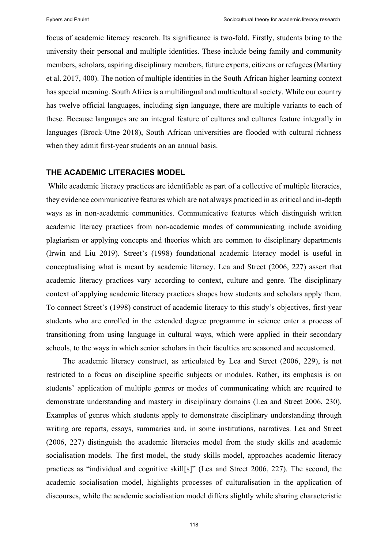focus of academic literacy research. Its significance is two-fold. Firstly, students bring to the university their personal and multiple identities. These include being family and community members, scholars, aspiring disciplinary members, future experts, citizens or refugees (Martiny et al. 2017, 400). The notion of multiple identities in the South African higher learning context has special meaning. South Africa is a multilingual and multicultural society. While our country has twelve official languages, including sign language, there are multiple variants to each of these. Because languages are an integral feature of cultures and cultures feature integrally in languages (Brock-Utne 2018), South African universities are flooded with cultural richness when they admit first-year students on an annual basis.

## **THE ACADEMIC LITERACIES MODEL**

While academic literacy practices are identifiable as part of a collective of multiple literacies, they evidence communicative features which are not always practiced in as critical and in-depth ways as in non-academic communities. Communicative features which distinguish written academic literacy practices from non-academic modes of communicating include avoiding plagiarism or applying concepts and theories which are common to disciplinary departments (Irwin and Liu 2019). Street's (1998) foundational academic literacy model is useful in conceptualising what is meant by academic literacy. Lea and Street (2006, 227) assert that academic literacy practices vary according to context, culture and genre. The disciplinary context of applying academic literacy practices shapes how students and scholars apply them. To connect Street's (1998) construct of academic literacy to this study's objectives, first-year students who are enrolled in the extended degree programme in science enter a process of transitioning from using language in cultural ways, which were applied in their secondary schools, to the ways in which senior scholars in their faculties are seasoned and accustomed.

The academic literacy construct, as articulated by Lea and Street (2006, 229), is not restricted to a focus on discipline specific subjects or modules. Rather, its emphasis is on students' application of multiple genres or modes of communicating which are required to demonstrate understanding and mastery in disciplinary domains (Lea and Street 2006, 230). Examples of genres which students apply to demonstrate disciplinary understanding through writing are reports, essays, summaries and, in some institutions, narratives. Lea and Street (2006, 227) distinguish the academic literacies model from the study skills and academic socialisation models. The first model, the study skills model, approaches academic literacy practices as "individual and cognitive skill[s]" (Lea and Street 2006, 227). The second, the academic socialisation model, highlights processes of culturalisation in the application of discourses, while the academic socialisation model differs slightly while sharing characteristic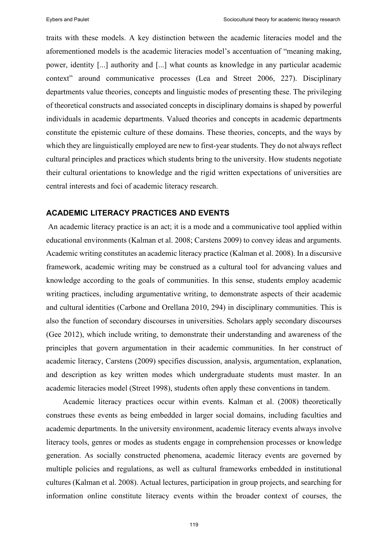traits with these models. A key distinction between the academic literacies model and the aforementioned models is the academic literacies model's accentuation of "meaning making, power, identity [...] authority and [...] what counts as knowledge in any particular academic context" around communicative processes (Lea and Street 2006, 227). Disciplinary departments value theories, concepts and linguistic modes of presenting these. The privileging of theoretical constructs and associated concepts in disciplinary domains is shaped by powerful individuals in academic departments. Valued theories and concepts in academic departments constitute the epistemic culture of these domains. These theories, concepts, and the ways by which they are linguistically employed are new to first-year students. They do not always reflect cultural principles and practices which students bring to the university. How students negotiate their cultural orientations to knowledge and the rigid written expectations of universities are central interests and foci of academic literacy research.

# **ACADEMIC LITERACY PRACTICES AND EVENTS**

An academic literacy practice is an act; it is a mode and a communicative tool applied within educational environments (Kalman et al. 2008; Carstens 2009) to convey ideas and arguments. Academic writing constitutes an academic literacy practice (Kalman et al. 2008). In a discursive framework, academic writing may be construed as a cultural tool for advancing values and knowledge according to the goals of communities. In this sense, students employ academic writing practices, including argumentative writing, to demonstrate aspects of their academic and cultural identities (Carbone and Orellana 2010, 294) in disciplinary communities. This is also the function of secondary discourses in universities. Scholars apply secondary discourses (Gee 2012), which include writing, to demonstrate their understanding and awareness of the principles that govern argumentation in their academic communities. In her construct of academic literacy, Carstens (2009) specifies discussion, analysis, argumentation, explanation, and description as key written modes which undergraduate students must master. In an academic literacies model (Street 1998), students often apply these conventions in tandem.

Academic literacy practices occur within events. Kalman et al. (2008) theoretically construes these events as being embedded in larger social domains, including faculties and academic departments. In the university environment, academic literacy events always involve literacy tools, genres or modes as students engage in comprehension processes or knowledge generation. As socially constructed phenomena, academic literacy events are governed by multiple policies and regulations, as well as cultural frameworks embedded in institutional cultures (Kalman et al. 2008). Actual lectures, participation in group projects, and searching for information online constitute literacy events within the broader context of courses, the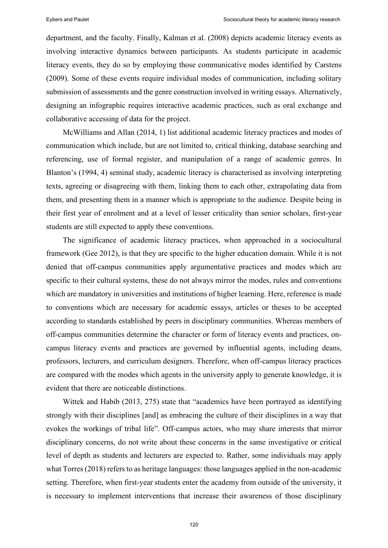department, and the faculty. Finally, Kalman et al. (2008) depicts academic literacy events as involving interactive dynamics between participants. As students participate in academic literacy events, they do so by employing those communicative modes identified by Carstens (2009). Some of these events require individual modes of communication, including solitary submission of assessments and the genre construction involved in writing essays. Alternatively, designing an infographic requires interactive academic practices, such as oral exchange and collaborative accessing of data for the project.

McWilliams and Allan (2014, 1) list additional academic literacy practices and modes of communication which include, but are not limited to, critical thinking, database searching and referencing, use of formal register, and manipulation of a range of academic genres. In Blanton's (1994, 4) seminal study, academic literacy is characterised as involving interpreting texts, agreeing or disagreeing with them, linking them to each other, extrapolating data from them, and presenting them in a manner which is appropriate to the audience. Despite being in their first year of enrolment and at a level of lesser criticality than senior scholars, first-year students are still expected to apply these conventions.

The significance of academic literacy practices, when approached in a sociocultural framework (Gee 2012), is that they are specific to the higher education domain. While it is not denied that off-campus communities apply argumentative practices and modes which are specific to their cultural systems, these do not always mirror the modes, rules and conventions which are mandatory in universities and institutions of higher learning. Here, reference is made to conventions which are necessary for academic essays, articles or theses to be accepted according to standards established by peers in disciplinary communities. Whereas members of off-campus communities determine the character or form of literacy events and practices, oncampus literacy events and practices are governed by influential agents, including deans, professors, lecturers, and curriculum designers. Therefore, when off-campus literacy practices are compared with the modes which agents in the university apply to generate knowledge, it is evident that there are noticeable distinctions.

Wittek and Habib (2013, 275) state that "academics have been portrayed as identifying strongly with their disciplines [and] as embracing the culture of their disciplines in a way that evokes the workings of tribal life". Off-campus actors, who may share interests that mirror disciplinary concerns, do not write about these concerns in the same investigative or critical level of depth as students and lecturers are expected to. Rather, some individuals may apply what Torres (2018) refers to as heritage languages: those languages applied in the non-academic setting. Therefore, when first-year students enter the academy from outside of the university, it is necessary to implement interventions that increase their awareness of those disciplinary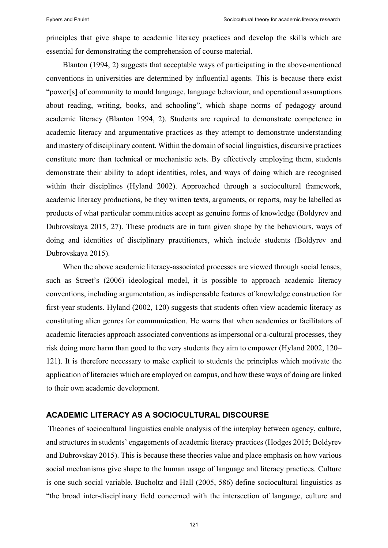principles that give shape to academic literacy practices and develop the skills which are essential for demonstrating the comprehension of course material.

Blanton (1994, 2) suggests that acceptable ways of participating in the above-mentioned conventions in universities are determined by influential agents. This is because there exist "power[s] of community to mould language, language behaviour, and operational assumptions about reading, writing, books, and schooling", which shape norms of pedagogy around academic literacy (Blanton 1994, 2). Students are required to demonstrate competence in academic literacy and argumentative practices as they attempt to demonstrate understanding and mastery of disciplinary content. Within the domain of social linguistics, discursive practices constitute more than technical or mechanistic acts. By effectively employing them, students demonstrate their ability to adopt identities, roles, and ways of doing which are recognised within their disciplines (Hyland 2002). Approached through a sociocultural framework, academic literacy productions, be they written texts, arguments, or reports, may be labelled as products of what particular communities accept as genuine forms of knowledge (Boldyrev and Dubrovskaya 2015, 27). These products are in turn given shape by the behaviours, ways of doing and identities of disciplinary practitioners, which include students (Boldyrev and Dubrovskaya 2015).

When the above academic literacy-associated processes are viewed through social lenses, such as Street's (2006) ideological model, it is possible to approach academic literacy conventions, including argumentation, as indispensable features of knowledge construction for first-year students. Hyland (2002, 120) suggests that students often view academic literacy as constituting alien genres for communication. He warns that when academics or facilitators of academic literacies approach associated conventions as impersonal or a-cultural processes, they risk doing more harm than good to the very students they aim to empower (Hyland 2002, 120– 121). It is therefore necessary to make explicit to students the principles which motivate the application of literacies which are employed on campus, and how these ways of doing are linked to their own academic development.

## **ACADEMIC LITERACY AS A SOCIOCULTURAL DISCOURSE**

Theories of sociocultural linguistics enable analysis of the interplay between agency, culture, and structures in students' engagements of academic literacy practices (Hodges 2015; Boldyrev and Dubrovskay 2015). This is because these theories value and place emphasis on how various social mechanisms give shape to the human usage of language and literacy practices. Culture is one such social variable. Bucholtz and Hall (2005, 586) define sociocultural linguistics as "the broad inter-disciplinary field concerned with the intersection of language, culture and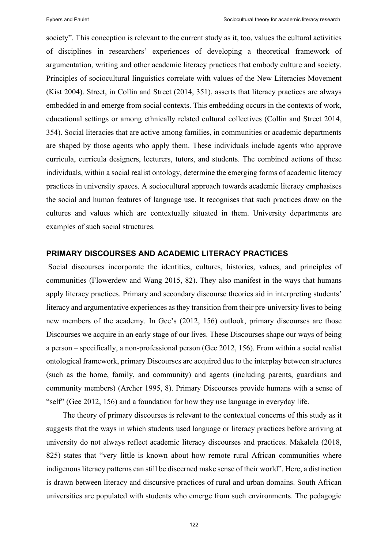society". This conception is relevant to the current study as it, too, values the cultural activities of disciplines in researchers' experiences of developing a theoretical framework of argumentation, writing and other academic literacy practices that embody culture and society. Principles of sociocultural linguistics correlate with values of the New Literacies Movement (Kist 2004). Street, in Collin and Street (2014, 351), asserts that literacy practices are always embedded in and emerge from social contexts. This embedding occurs in the contexts of work, educational settings or among ethnically related cultural collectives (Collin and Street 2014, 354). Social literacies that are active among families, in communities or academic departments are shaped by those agents who apply them. These individuals include agents who approve curricula, curricula designers, lecturers, tutors, and students. The combined actions of these individuals, within a social realist ontology, determine the emerging forms of academic literacy practices in university spaces. A sociocultural approach towards academic literacy emphasises the social and human features of language use. It recognises that such practices draw on the cultures and values which are contextually situated in them. University departments are examples of such social structures.

# **PRIMARY DISCOURSES AND ACADEMIC LITERACY PRACTICES**

Social discourses incorporate the identities, cultures, histories, values, and principles of communities (Flowerdew and Wang 2015, 82). They also manifest in the ways that humans apply literacy practices. Primary and secondary discourse theories aid in interpreting students' literacy and argumentative experiences as they transition from their pre-university lives to being new members of the academy. In Gee's (2012, 156) outlook, primary discourses are those Discourses we acquire in an early stage of our lives. These Discourses shape our ways of being a person – specifically, a non-professional person (Gee 2012, 156). From within a social realist ontological framework, primary Discourses are acquired due to the interplay between structures (such as the home, family, and community) and agents (including parents, guardians and community members) (Archer 1995, 8). Primary Discourses provide humans with a sense of "self" (Gee 2012, 156) and a foundation for how they use language in everyday life.

The theory of primary discourses is relevant to the contextual concerns of this study as it suggests that the ways in which students used language or literacy practices before arriving at university do not always reflect academic literacy discourses and practices. Makalela (2018, 825) states that "very little is known about how remote rural African communities where indigenous literacy patterns can still be discerned make sense of their world". Here, a distinction is drawn between literacy and discursive practices of rural and urban domains. South African universities are populated with students who emerge from such environments. The pedagogic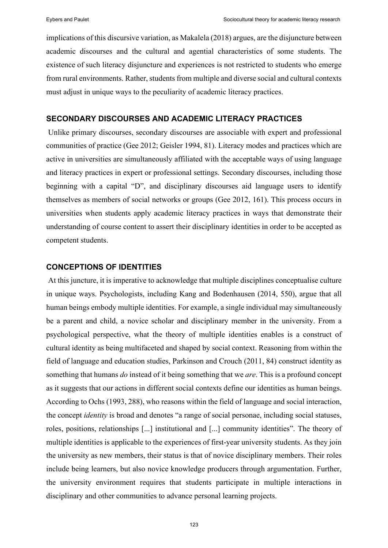implications of this discursive variation, as Makalela (2018) argues, are the disjuncture between academic discourses and the cultural and agential characteristics of some students. The existence of such literacy disjuncture and experiences is not restricted to students who emerge from rural environments. Rather, students from multiple and diverse social and cultural contexts must adjust in unique ways to the peculiarity of academic literacy practices.

## **SECONDARY DISCOURSES AND ACADEMIC LITERACY PRACTICES**

Unlike primary discourses, secondary discourses are associable with expert and professional communities of practice (Gee 2012; Geisler 1994, 81). Literacy modes and practices which are active in universities are simultaneously affiliated with the acceptable ways of using language and literacy practices in expert or professional settings. Secondary discourses, including those beginning with a capital "D", and disciplinary discourses aid language users to identify themselves as members of social networks or groups (Gee 2012, 161). This process occurs in universities when students apply academic literacy practices in ways that demonstrate their understanding of course content to assert their disciplinary identities in order to be accepted as competent students.

# **CONCEPTIONS OF IDENTITIES**

At this juncture, it is imperative to acknowledge that multiple disciplines conceptualise culture in unique ways. Psychologists, including Kang and Bodenhausen (2014, 550), argue that all human beings embody multiple identities. For example, a single individual may simultaneously be a parent and child, a novice scholar and disciplinary member in the university. From a psychological perspective, what the theory of multiple identities enables is a construct of cultural identity as being multifaceted and shaped by social context. Reasoning from within the field of language and education studies, Parkinson and Crouch (2011, 84) construct identity as something that humans *do* instead of it being something that we *are*. This is a profound concept as it suggests that our actions in different social contexts define our identities as human beings. According to Ochs (1993, 288), who reasons within the field of language and social interaction, the concept *identity* is broad and denotes "a range of social personae, including social statuses, roles, positions, relationships [...] institutional and [...] community identities". The theory of multiple identities is applicable to the experiences of first-year university students. As they join the university as new members, their status is that of novice disciplinary members. Their roles include being learners, but also novice knowledge producers through argumentation. Further, the university environment requires that students participate in multiple interactions in disciplinary and other communities to advance personal learning projects.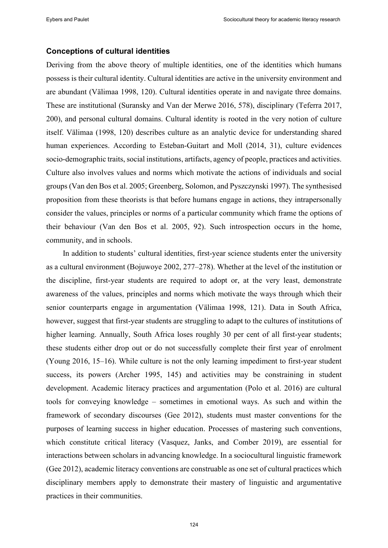## **Conceptions of cultural identities**

Deriving from the above theory of multiple identities, one of the identities which humans possess is their cultural identity. Cultural identities are active in the university environment and are abundant (Välimaa 1998, 120). Cultural identities operate in and navigate three domains. These are institutional (Suransky and Van der Merwe 2016, 578), disciplinary (Teferra 2017, 200), and personal cultural domains. Cultural identity is rooted in the very notion of culture itself. Välimaa (1998, 120) describes culture as an analytic device for understanding shared human experiences. According to Esteban-Guitart and Moll (2014, 31), culture evidences socio-demographic traits, social institutions, artifacts, agency of people, practices and activities. Culture also involves values and norms which motivate the actions of individuals and social groups (Van den Bos et al. 2005; Greenberg, Solomon, and Pyszczynski 1997). The synthesised proposition from these theorists is that before humans engage in actions, they intrapersonally consider the values, principles or norms of a particular community which frame the options of their behaviour (Van den Bos et al. 2005, 92). Such introspection occurs in the home, community, and in schools.

In addition to students' cultural identities, first-year science students enter the university as a cultural environment (Bojuwoye 2002, 277–278). Whether at the level of the institution or the discipline, first-year students are required to adopt or, at the very least, demonstrate awareness of the values, principles and norms which motivate the ways through which their senior counterparts engage in argumentation (Välimaa 1998, 121). Data in South Africa, however, suggest that first-year students are struggling to adapt to the cultures of institutions of higher learning. Annually, South Africa loses roughly 30 per cent of all first-year students; these students either drop out or do not successfully complete their first year of enrolment (Young 2016, 15–16). While culture is not the only learning impediment to first-year student success, its powers (Archer 1995, 145) and activities may be constraining in student development. Academic literacy practices and argumentation (Polo et al. 2016) are cultural tools for conveying knowledge – sometimes in emotional ways. As such and within the framework of secondary discourses (Gee 2012), students must master conventions for the purposes of learning success in higher education. Processes of mastering such conventions, which constitute critical literacy (Vasquez, Janks, and Comber 2019), are essential for interactions between scholars in advancing knowledge. In a sociocultural linguistic framework (Gee 2012), academic literacy conventions are construable as one set of cultural practices which disciplinary members apply to demonstrate their mastery of linguistic and argumentative practices in their communities.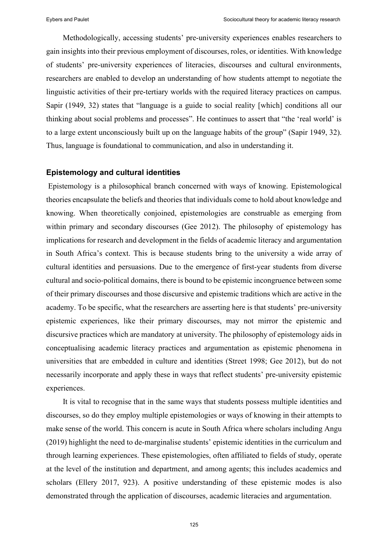Methodologically, accessing students' pre-university experiences enables researchers to gain insights into their previous employment of discourses, roles, or identities. With knowledge of students' pre-university experiences of literacies, discourses and cultural environments, researchers are enabled to develop an understanding of how students attempt to negotiate the linguistic activities of their pre-tertiary worlds with the required literacy practices on campus. Sapir (1949, 32) states that "language is a guide to social reality [which] conditions all our thinking about social problems and processes". He continues to assert that "the 'real world' is to a large extent unconsciously built up on the language habits of the group" (Sapir 1949, 32). Thus, language is foundational to communication, and also in understanding it.

# **Epistemology and cultural identities**

Epistemology is a philosophical branch concerned with ways of knowing. Epistemological theories encapsulate the beliefs and theories that individuals come to hold about knowledge and knowing. When theoretically conjoined, epistemologies are construable as emerging from within primary and secondary discourses (Gee 2012). The philosophy of epistemology has implications for research and development in the fields of academic literacy and argumentation in South Africa's context. This is because students bring to the university a wide array of cultural identities and persuasions. Due to the emergence of first-year students from diverse cultural and socio-political domains, there is bound to be epistemic incongruence between some of their primary discourses and those discursive and epistemic traditions which are active in the academy. To be specific, what the researchers are asserting here is that students' pre-university epistemic experiences, like their primary discourses, may not mirror the epistemic and discursive practices which are mandatory at university. The philosophy of epistemology aids in conceptualising academic literacy practices and argumentation as epistemic phenomena in universities that are embedded in culture and identities (Street 1998; Gee 2012), but do not necessarily incorporate and apply these in ways that reflect students' pre-university epistemic experiences.

It is vital to recognise that in the same ways that students possess multiple identities and discourses, so do they employ multiple epistemologies or ways of knowing in their attempts to make sense of the world. This concern is acute in South Africa where scholars including Angu (2019) highlight the need to de-marginalise students' epistemic identities in the curriculum and through learning experiences. These epistemologies, often affiliated to fields of study, operate at the level of the institution and department, and among agents; this includes academics and scholars (Ellery 2017, 923). A positive understanding of these epistemic modes is also demonstrated through the application of discourses, academic literacies and argumentation.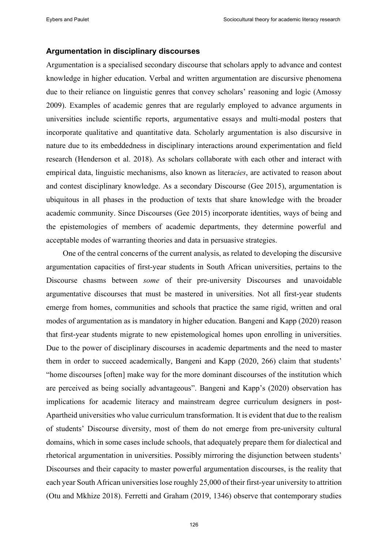### **Argumentation in disciplinary discourses**

Argumentation is a specialised secondary discourse that scholars apply to advance and contest knowledge in higher education. Verbal and written argumentation are discursive phenomena due to their reliance on linguistic genres that convey scholars' reasoning and logic (Amossy 2009). Examples of academic genres that are regularly employed to advance arguments in universities include scientific reports, argumentative essays and multi-modal posters that incorporate qualitative and quantitative data. Scholarly argumentation is also discursive in nature due to its embeddedness in disciplinary interactions around experimentation and field research (Henderson et al. 2018). As scholars collaborate with each other and interact with empirical data, linguistic mechanisms, also known as litera*cies*, are activated to reason about and contest disciplinary knowledge. As a secondary Discourse (Gee 2015), argumentation is ubiquitous in all phases in the production of texts that share knowledge with the broader academic community. Since Discourses (Gee 2015) incorporate identities, ways of being and the epistemologies of members of academic departments, they determine powerful and acceptable modes of warranting theories and data in persuasive strategies.

One of the central concerns of the current analysis, as related to developing the discursive argumentation capacities of first-year students in South African universities, pertains to the Discourse chasms between *some* of their pre-university Discourses and unavoidable argumentative discourses that must be mastered in universities. Not all first-year students emerge from homes, communities and schools that practice the same rigid, written and oral modes of argumentation as is mandatory in higher education. Bangeni and Kapp (2020) reason that first-year students migrate to new epistemological homes upon enrolling in universities. Due to the power of disciplinary discourses in academic departments and the need to master them in order to succeed academically, Bangeni and Kapp (2020, 266) claim that students' "home discourses [often] make way for the more dominant discourses of the institution which are perceived as being socially advantageous". Bangeni and Kapp's (2020) observation has implications for academic literacy and mainstream degree curriculum designers in post-Apartheid universities who value curriculum transformation. It is evident that due to the realism of students' Discourse diversity, most of them do not emerge from pre-university cultural domains, which in some cases include schools, that adequately prepare them for dialectical and rhetorical argumentation in universities. Possibly mirroring the disjunction between students' Discourses and their capacity to master powerful argumentation discourses, is the reality that each year South African universities lose roughly 25,000 of their first-year university to attrition (Otu and Mkhize 2018). Ferretti and Graham (2019, 1346) observe that contemporary studies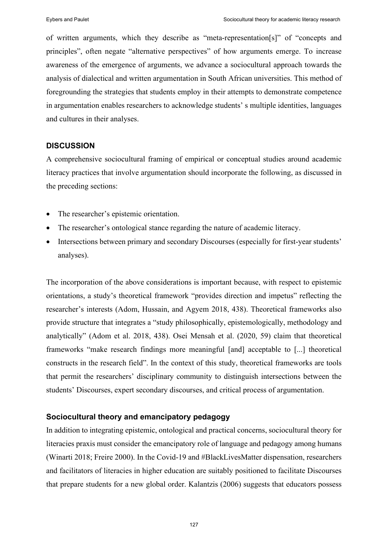of written arguments, which they describe as "meta-representation[s]" of "concepts and principles", often negate "alternative perspectives" of how arguments emerge. To increase awareness of the emergence of arguments, we advance a sociocultural approach towards the analysis of dialectical and written argumentation in South African universities. This method of foregrounding the strategies that students employ in their attempts to demonstrate competence in argumentation enables researchers to acknowledge students' s multiple identities, languages and cultures in their analyses.

# **DISCUSSION**

A comprehensive sociocultural framing of empirical or conceptual studies around academic literacy practices that involve argumentation should incorporate the following, as discussed in the preceding sections:

- The researcher's epistemic orientation.
- The researcher's ontological stance regarding the nature of academic literacy.
- Intersections between primary and secondary Discourses (especially for first-year students' analyses).

The incorporation of the above considerations is important because, with respect to epistemic orientations, a study's theoretical framework "provides direction and impetus" reflecting the researcher's interests (Adom, Hussain, and Agyem 2018, 438). Theoretical frameworks also provide structure that integrates a "study philosophically, epistemologically, methodology and analytically" (Adom et al. 2018, 438). Osei Mensah et al. (2020, 59) claim that theoretical frameworks "make research findings more meaningful [and] acceptable to [...] theoretical constructs in the research field". In the context of this study, theoretical frameworks are tools that permit the researchers' disciplinary community to distinguish intersections between the students' Discourses, expert secondary discourses, and critical process of argumentation.

# **Sociocultural theory and emancipatory pedagogy**

In addition to integrating epistemic, ontological and practical concerns, sociocultural theory for literacies praxis must consider the emancipatory role of language and pedagogy among humans (Winarti 2018; Freire 2000). In the Covid-19 and #BlackLivesMatter dispensation, researchers and facilitators of literacies in higher education are suitably positioned to facilitate Discourses that prepare students for a new global order. Kalantzis (2006) suggests that educators possess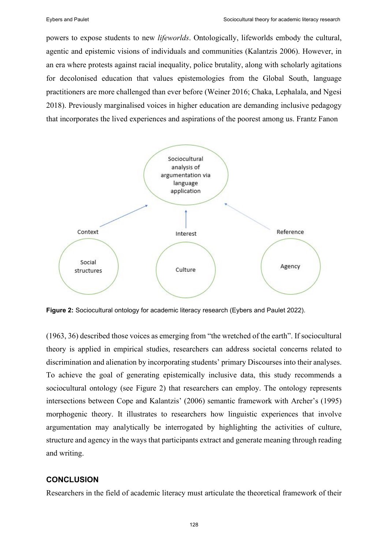powers to expose students to new *lifeworlds*. Ontologically, lifeworlds embody the cultural, agentic and epistemic visions of individuals and communities (Kalantzis 2006). However, in an era where protests against racial inequality, police brutality, along with scholarly agitations for decolonised education that values epistemologies from the Global South, language practitioners are more challenged than ever before (Weiner 2016; Chaka, Lephalala, and Ngesi 2018). Previously marginalised voices in higher education are demanding inclusive pedagogy that incorporates the lived experiences and aspirations of the poorest among us. Frantz Fanon



**Figure 2:** Sociocultural ontology for academic literacy research (Eybers and Paulet 2022).

(1963, 36) described those voices as emerging from "the wretched of the earth". If sociocultural theory is applied in empirical studies, researchers can address societal concerns related to discrimination and alienation by incorporating students' primary Discourses into their analyses. To achieve the goal of generating epistemically inclusive data, this study recommends a sociocultural ontology (see Figure 2) that researchers can employ. The ontology represents intersections between Cope and Kalantzis' (2006) semantic framework with Archer's (1995) morphogenic theory. It illustrates to researchers how linguistic experiences that involve argumentation may analytically be interrogated by highlighting the activities of culture, structure and agency in the ways that participants extract and generate meaning through reading and writing.

## **CONCLUSION**

Researchers in the field of academic literacy must articulate the theoretical framework of their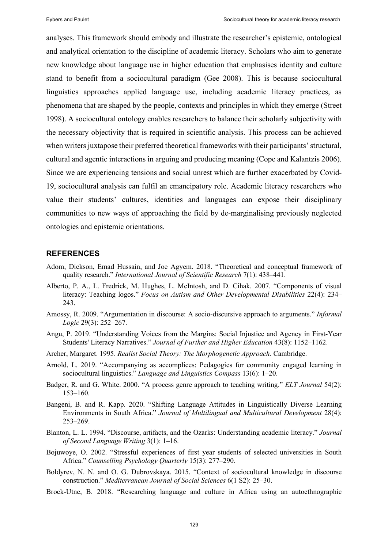analyses. This framework should embody and illustrate the researcher's epistemic, ontological and analytical orientation to the discipline of academic literacy. Scholars who aim to generate new knowledge about language use in higher education that emphasises identity and culture stand to benefit from a sociocultural paradigm (Gee 2008). This is because sociocultural linguistics approaches applied language use, including academic literacy practices, as phenomena that are shaped by the people, contexts and principles in which they emerge (Street 1998). A sociocultural ontology enables researchers to balance their scholarly subjectivity with the necessary objectivity that is required in scientific analysis. This process can be achieved when writers juxtapose their preferred theoretical frameworks with their participants' structural, cultural and agentic interactions in arguing and producing meaning (Cope and Kalantzis 2006). Since we are experiencing tensions and social unrest which are further exacerbated by Covid-19, sociocultural analysis can fulfil an emancipatory role. Academic literacy researchers who value their students' cultures, identities and languages can expose their disciplinary communities to new ways of approaching the field by de-marginalising previously neglected ontologies and epistemic orientations.

## **REFERENCES**

- Adom, Dickson, Emad Hussain, and Joe Agyem. 2018. "Theoretical and conceptual framework of quality research." *International Journal of Scientific Research* 7(1): 438‒441.
- Alberto, P. A., L. Fredrick, M. Hughes, L. McIntosh, and D. Cihak. 2007. "Components of visual literacy: Teaching logos." *Focus on Autism and Other Developmental Disabilities* 22(4): 234‒ 243.
- Amossy, R. 2009. "Argumentation in discourse: A socio-discursive approach to arguments." *Informal Logic* 29(3): 252‒267.
- Angu, P. 2019. "Understanding Voices from the Margins: Social Injustice and Agency in First-Year Students' Literacy Narratives." *Journal of Further and Higher Education* 43(8): 1152–1162.
- Archer, Margaret. 1995. *Realist Social Theory: The Morphogenetic Approach.* Cambridge.
- Arnold, L. 2019. "Accompanying as accomplices: Pedagogies for community engaged learning in sociocultural linguistics." *Language and Linguistics Compass* 13(6): 1–20.
- Badger, R. and G. White. 2000. "A process genre approach to teaching writing." *ELT Journal* 54(2): 153‒160.
- Bangeni, B. and R. Kapp. 2020. "Shifting Language Attitudes in Linguistically Diverse Learning Environments in South Africa." *Journal of Multilingual and Multicultural Development* 28(4): 253-269.
- Blanton, L. L. 1994. "Discourse, artifacts, and the Ozarks: Understanding academic literacy." *Journal of Second Language Writing* 3(1): 1‒16.
- Bojuwoye, O. 2002. "Stressful experiences of first year students of selected universities in South Africa." Counselling Psychology Quarterly 15(3): 277-290.
- Boldyrev, N. N. and O. G. Dubrovskaya. 2015. "Context of sociocultural knowledge in discourse construction." *Mediterranean Journal of Social Sciences* 6(1 S2): 25–30.
- Brock-Utne, B. 2018. "Researching language and culture in Africa using an autoethnographic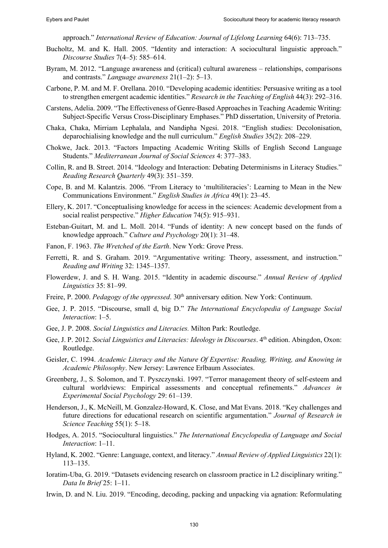approach." *International Review of Education: Journal of Lifelong Learning* 64(6): 713–735.

- Bucholtz, M. and K. Hall. 2005. "Identity and interaction: A sociocultural linguistic approach." *Discourse Studies* 7(4‒5): 585‒614.
- Byram, M. 2012. "Language awareness and (critical) cultural awareness relationships, comparisons and contrasts." *Language awareness* 21(1‒2): 5‒13.
- Carbone, P. M. and M. F. Orellana. 2010. "Developing academic identities: Persuasive writing as a tool to strengthen emergent academic identities." *Research in the Teaching of English* 44(3): 292‒316.
- Carstens, Adelia. 2009. "The Effectiveness of Genre-Based Approaches in Teaching Academic Writing: Subject-Specific Versus Cross-Disciplinary Emphases." PhD dissertation, University of Pretoria.
- Chaka, Chaka, Mirriam Lephalala, and Nandipha Ngesi. 2018. "English studies: Decolonisation, deparochialising knowledge and the null curriculum." *English Studies* 35(2): 208‒229.
- Chokwe, Jack. 2013. "Factors Impacting Academic Writing Skills of English Second Language Students." *Mediterranean Journal of Social Sciences* 4: 377‒383.
- Collin, R. and B. Street. 2014. "Ideology and Interaction: Debating Determinisms in Literacy Studies." *Reading Research Quarterly* 49(3): 351‒359.
- Cope, B. and M. Kalantzis. 2006. "From Literacy to 'multiliteracies': Learning to Mean in the New Communications Environment." *English Studies in Africa* 49(1): 23–45.
- Ellery, K. 2017. "Conceptualising knowledge for access in the sciences: Academic development from a social realist perspective." *Higher Education* 74(5): 915–931.
- Esteban-Guitart, M. and L. Moll. 2014. "Funds of identity: A new concept based on the funds of knowledge approach." *Culture and Psychology* 20(1): 31‒48.
- Fanon, F. 1963. *The Wretched of the Earth*. New York: Grove Press.
- Ferretti, R. and S. Graham. 2019. "Argumentative writing: Theory, assessment, and instruction." *Reading and Writing* 32: 1345–1357.
- Flowerdew, J. and S. H. Wang. 2015. "Identity in academic discourse." *Annual Review of Applied Linguistics* 35: 81‒99.
- Freire, P. 2000. *Pedagogy of the oppressed*. 30<sup>th</sup> anniversary edition. New York: Continuum.
- Gee, J. P. 2015. "Discourse, small d, big D." *The International Encyclopedia of Language Social Interaction*: 1‒5.
- Gee, J. P. 2008. *Social Linguistics and Literacies.* Milton Park: Routledge.
- Gee, J. P. 2012. *Social Linguistics and Literacies: Ideology in Discourses*. 4<sup>th</sup> edition. Abingdon, Oxon: Routledge.
- Geisler, C. 1994. *Academic Literacy and the Nature Of Expertise: Reading, Writing, and Knowing in Academic Philosophy*. New Jersey: Lawrence Erlbaum Associates.
- Greenberg, J., S. Solomon, and T. Pyszczynski. 1997. "Terror management theory of self-esteem and cultural worldviews: Empirical assessments and conceptual refinements." *Advances in Experimental Social Psychology* 29: 61‒139.
- Henderson, J., K. McNeill, M. Gonzalez-Howard, K. Close, and Mat Evans. 2018. "Key challenges and future directions for educational research on scientific argumentation." *Journal of Research in Science Teaching* 55(1): 5–18.
- Hodges, A. 2015. "Sociocultural linguistics." *The International Encyclopedia of Language and Social Interaction*: 1–11.
- Hyland, K. 2002. "Genre: Language, context, and literacy." *Annual Review of Applied Linguistics* 22(1): 113‒135.
- Ioratim-Uba, G. 2019. "Datasets evidencing research on classroom practice in L2 disciplinary writing." *Data In Brief* 25: 1-11.
- Irwin, D. and N. Liu. 2019. "Encoding, decoding, packing and unpacking via agnation: Reformulating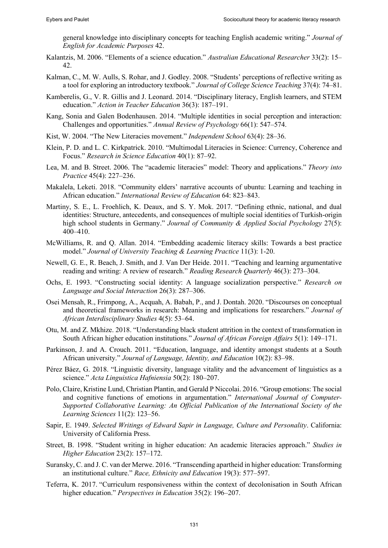general knowledge into disciplinary concepts for teaching English academic writing." *Journal of English for Academic Purposes* 42.

- Kalantzis, M. 2006. "Elements of a science education." *Australian Educational Researcher* 33(2): 15– 42.
- Kalman, C., M. W. Aulls, S. Rohar, and J. Godley. 2008. "Students' perceptions of reflective writing as a tool for exploring an introductory textbook." *Journal of College Science Teaching* 37(4): 74‒81.
- Kamberelis, G., V. R. Gillis and J. Leonard. 2014. "Disciplinary literacy, English learners, and STEM education." *Action in Teacher Education* 36(3): 187-191.
- Kang, Sonia and Galen Bodenhausen. 2014. "Multiple identities in social perception and interaction: Challenges and opportunities." *Annual Review of Psychology* 66(1): 547–574.
- Kist, W. 2004. "The New Literacies movement." *Independent School* 63(4): 28‒36.
- Klein, P. D. and L. C. Kirkpatrick. 2010. "Multimodal Literacies in Science: Currency, Coherence and Focus." *Research in Science Education* 40(1): 87–92.
- Lea, M. and B. Street. 2006. The "academic literacies" model: Theory and applications." *Theory into Practice* 45(4): 227‒236.
- Makalela, Leketi. 2018. "Community elders' narrative accounts of ubuntu: Learning and teaching in African education." *International Review of Education* 64: 823-843.
- Martiny, S. E., L. Froehlich, K. Deaux, and S. Y. Mok. 2017. "Defining ethnic, national, and dual identities: Structure, antecedents, and consequences of multiple social identities of Turkish-origin high school students in Germany." *Journal of Community & Applied Social Psychology* 27(5): 400‒410.
- McWilliams, R. and Q. Allan. 2014. "Embedding academic literacy skills: Towards a best practice model." *Journal of University Teaching & Learning Practice* 11(3): 1-20.
- Newell, G. E., R. Beach, J. Smith, and J. Van Der Heide. 2011. "Teaching and learning argumentative reading and writing: A review of research." *Reading Research Quarterly* 46(3): 273–304.
- Ochs, E. 1993. "Constructing social identity: A language socialization perspective." *Research on Language and Social Interaction* 26(3): 287‒306.
- Osei Mensah, R., Frimpong, A., Acquah, A. Babah, P., and J. Dontah. 2020. "Discourses on conceptual and theoretical frameworks in research: Meaning and implications for researchers." *Journal of African Interdisciplinary Studies* 4(5): 53‒64.
- Otu, M. and Z. Mkhize. 2018. "Understanding black student attrition in the context of transformation in South African higher education institutions." *Journal of African Foreign Affairs* 5(1): 149–171.
- Parkinson, J. and A. Crouch. 2011. "Education, language, and identity amongst students at a South African university." *Journal of Language, Identity, and Education* 10(2): 83–98.
- Pérez Báez, G. 2018. "Linguistic diversity, language vitality and the advancement of linguistics as a science." *Acta Linguistica Hafniensia* 50(2): 180–207.
- Polo, Claire, Kristine Lund, Christian Plantin, and Gerald P Niccolai. 2016. "Group emotions: The social and cognitive functions of emotions in argumentation." *International Journal of Computer-Supported Collaborative Learning: An Official Publication of the International Society of the Learning Sciences* 11(2): 123‒56.
- Sapir, E. 1949. *Selected Writings of Edward Sapir in Language, Culture and Personality*. California: University of California Press.
- Street, B. 1998. "Student writing in higher education: An academic literacies approach." *Studies in Higher Education* 23(2): 157–172.
- Suransky, C. and J. C. van der Merwe. 2016. "Transcending apartheid in higher education: Transforming an institutional culture." *Race, Ethnicity and Education* 19(3): 577–597.
- Teferra, K. 2017. "Curriculum responsiveness within the context of decolonisation in South African higher education." *Perspectives in Education* 35(2): 196–207.